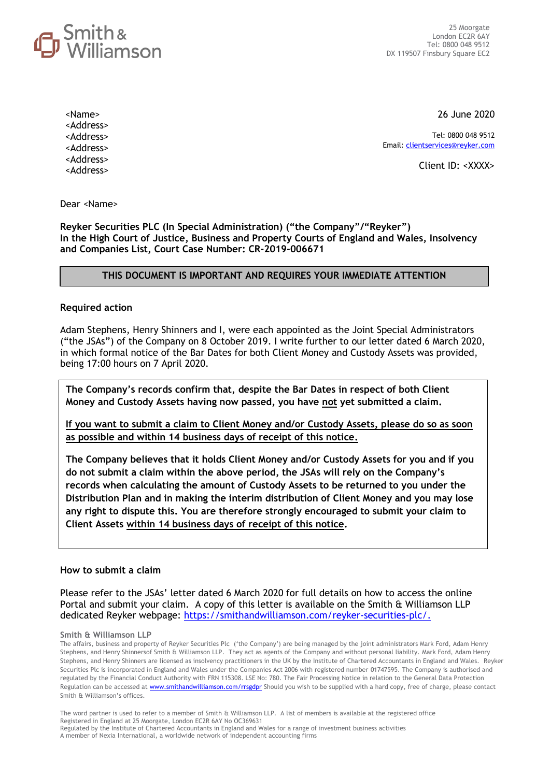

26 June 2020

Tel: 0800 048 9512 Email[: clientservices@reyker.com](mailto:clientservices@reyker.com)

Client ID: <XXXX>

Dear <Name>

<Name> <Address> <Address> <Address> <Address> <Address>

**Reyker Securities PLC (In Special Administration) ("the Company"/"Reyker") In the High Court of Justice, Business and Property Courts of England and Wales, Insolvency and Companies List, Court Case Number: CR-2019-006671**

### **THIS DOCUMENT IS IMPORTANT AND REQUIRES YOUR IMMEDIATE ATTENTION**

#### **Required action**

Adam Stephens, Henry Shinners and I, were each appointed as the Joint Special Administrators ("the JSAs") of the Company on 8 October 2019. I write further to our letter dated 6 March 2020, in which formal notice of the Bar Dates for both Client Money and Custody Assets was provided, being 17:00 hours on 7 April 2020.

**The Company's records confirm that, despite the Bar Dates in respect of both Client Money and Custody Assets having now passed, you have not yet submitted a claim.** 

**If you want to submit a claim to Client Money and/or Custody Assets, please do so as soon as possible and within 14 business days of receipt of this notice.** 

**The Company believes that it holds Client Money and/or Custody Assets for you and if you do not submit a claim within the above period, the JSAs will rely on the Company's records when calculating the amount of Custody Assets to be returned to you under the Distribution Plan and in making the interim distribution of Client Money and you may lose any right to dispute this. You are therefore strongly encouraged to submit your claim to Client Assets within 14 business days of receipt of this notice.** 

#### **How to submit a claim**

Please refer to the JSAs' letter dated 6 March 2020 for full details on how to access the online Portal and submit your claim. A copy of this letter is available on the Smith & Williamson LLP dedicated Reyker webpage: [https://smithandwilliamson.com/reyker-securities-plc/.](https://smithandwilliamson.com/reyker-securities-plc/)

**Smith & Williamson LLP**

The affairs, business and property of Reyker Securities Plc ('the Company') are being managed by the joint administrators Mark Ford, Adam Henry Stephens, and Henry Shinnersof Smith & Williamson LLP. They act as agents of the Company and without personal liability. Mark Ford, Adam Henry Stephens, and Henry Shinners are licensed as insolvency practitioners in the UK by the Institute of Chartered Accountants in England and Wales. Reyker Securities Plc is incorporated in England and Wales under the Companies Act 2006 with registered number 01747595. The Company is authorised and regulated by the Financial Conduct Authority with FRN 115308. LSE No: 780. The Fair Processing Notice in relation to the General Data Protection Regulation can be accessed at **www.smithandwilliamson.com/rrsgdpr** Should you wish to be supplied with a hard copy, free of charge, please contact Smith & Williamson's offices.

The word partner is used to refer to a member of Smith & Williamson LLP. A list of members is available at the registered office Registered in England at 25 Moorgate, London EC2R 6AY No OC369631 Regulated by the Institute of Chartered Accountants in England and Wales for a range of investment business activities A member of Nexia International, a worldwide network of independent accounting firms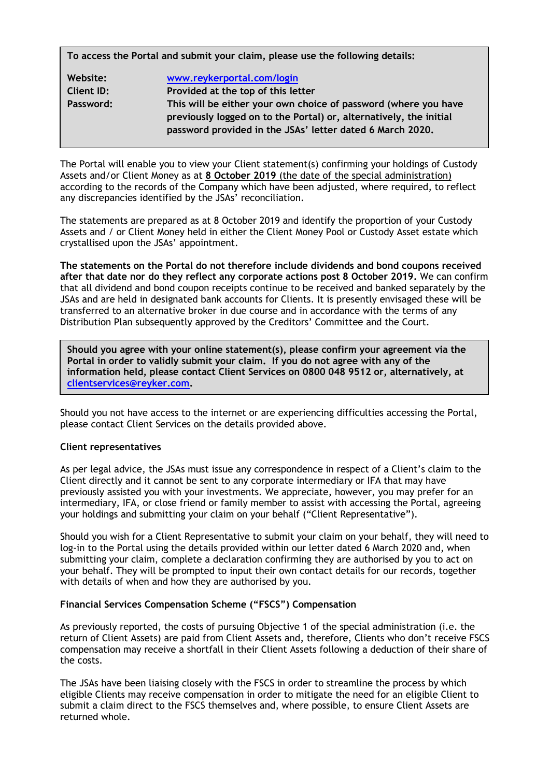**To access the Portal and submit your claim, please use the following details:**

| Website:   | www.reykerportal.com/login                                         |
|------------|--------------------------------------------------------------------|
| Client ID: | Provided at the top of this letter                                 |
| Password:  | This will be either your own choice of password (where you have    |
|            | previously logged on to the Portal) or, alternatively, the initial |
|            | password provided in the JSAs' letter dated 6 March 2020.          |

The Portal will enable you to view your Client statement(s) confirming your holdings of Custody Assets and/or Client Money as at **8 October 2019** (the date of the special administration) according to the records of the Company which have been adjusted, where required, to reflect any discrepancies identified by the JSAs' reconciliation.

The statements are prepared as at 8 October 2019 and identify the proportion of your Custody Assets and / or Client Money held in either the Client Money Pool or Custody Asset estate which crystallised upon the JSAs' appointment.

**The statements on the Portal do not therefore include dividends and bond coupons received after that date nor do they reflect any corporate actions post 8 October 2019.** We can confirm that all dividend and bond coupon receipts continue to be received and banked separately by the JSAs and are held in designated bank accounts for Clients. It is presently envisaged these will be transferred to an alternative broker in due course and in accordance with the terms of any Distribution Plan subsequently approved by the Creditors' Committee and the Court.

**Should you agree with your online statement(s), please confirm your agreement via the Portal in order to validly submit your claim. If you do not agree with any of the information held, please contact Client Services on 0800 048 9512 or, alternatively, at [clientservices@reyker.com.](mailto:clientservices@reyker.com)** 

Should you not have access to the internet or are experiencing difficulties accessing the Portal, please contact Client Services on the details provided above.

### **Client representatives**

As per legal advice, the JSAs must issue any correspondence in respect of a Client's claim to the Client directly and it cannot be sent to any corporate intermediary or IFA that may have previously assisted you with your investments. We appreciate, however, you may prefer for an intermediary, IFA, or close friend or family member to assist with accessing the Portal, agreeing your holdings and submitting your claim on your behalf ("Client Representative").

Should you wish for a Client Representative to submit your claim on your behalf, they will need to log-in to the Portal using the details provided within our letter dated 6 March 2020 and, when submitting your claim, complete a declaration confirming they are authorised by you to act on your behalf. They will be prompted to input their own contact details for our records, together with details of when and how they are authorised by you.

## **Financial Services Compensation Scheme ("FSCS") Compensation**

As previously reported, the costs of pursuing Objective 1 of the special administration (i.e. the return of Client Assets) are paid from Client Assets and, therefore, Clients who don't receive FSCS compensation may receive a shortfall in their Client Assets following a deduction of their share of the costs.

The JSAs have been liaising closely with the FSCS in order to streamline the process by which eligible Clients may receive compensation in order to mitigate the need for an eligible Client to submit a claim direct to the FSCS themselves and, where possible, to ensure Client Assets are returned whole.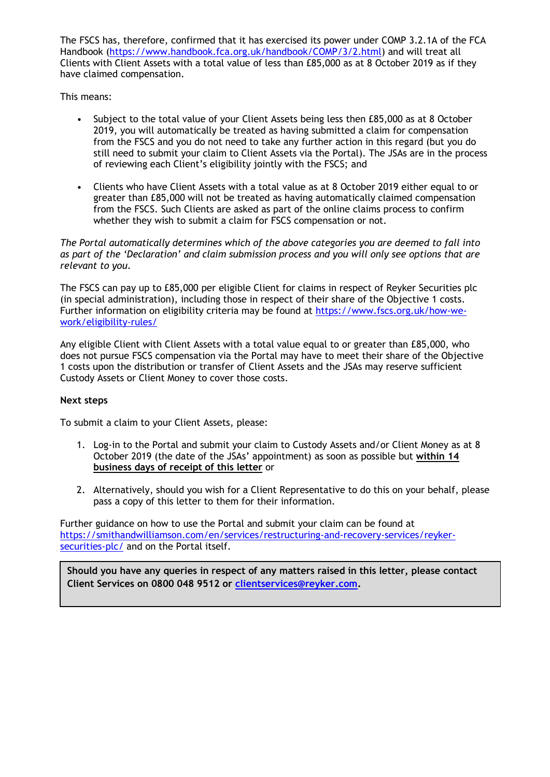The FSCS has, therefore, confirmed that it has exercised its power under COMP 3.2.1A of the FCA Handbook (https://www.handbook.fca.org.uk/handbook/COMP/3/2.html) and will treat all Clients with Client Assets with a total value of less than £85,000 as at 8 October 2019 as if they have claimed compensation.

This means:

- Subject to the total value of your Client Assets being less then £85,000 as at 8 October 2019, you will automatically be treated as having submitted a claim for compensation from the FSCS and you do not need to take any further action in this regard (but you do still need to submit your claim to Client Assets via the Portal). The JSAs are in the process of reviewing each Client's eligibility jointly with the FSCS; and
- Clients who have Client Assets with a total value as at 8 October 2019 either equal to or greater than £85,000 will not be treated as having automatically claimed compensation from the FSCS. Such Clients are asked as part of the online claims process to confirm whether they wish to submit a claim for FSCS compensation or not.

*The Portal automatically determines which of the above categories you are deemed to fall into as part of the 'Declaration' and claim submission process and you will only see options that are relevant to you.*

The FSCS can pay up to £85,000 per eligible Client for claims in respect of Reyker Securities plc (in special administration), including those in respect of their share of the Objective 1 costs. Further information on eligibility criteria may be found at [https://www.fscs.org.uk/how-we](https://www.fscs.org.uk/how-we-work/eligibility-rules/)[work/eligibility-rules/](https://www.fscs.org.uk/how-we-work/eligibility-rules/)

Any eligible Client with Client Assets with a total value equal to or greater than £85,000, who does not pursue FSCS compensation via the Portal may have to meet their share of the Objective 1 costs upon the distribution or transfer of Client Assets and the JSAs may reserve sufficient Custody Assets or Client Money to cover those costs.

### **Next steps**

To submit a claim to your Client Assets, please:

- 1. Log-in to the Portal and submit your claim to Custody Assets and/or Client Money as at 8 October 2019 (the date of the JSAs' appointment) as soon as possible but **within 14 business days of receipt of this letter** or
- 2. Alternatively, should you wish for a Client Representative to do this on your behalf, please pass a copy of this letter to them for their information.

Further guidance on how to use the Portal and submit your claim can be found at https://smithandwilliamson.com/en/services/restructuring-and-recovery-services/reykersecurities-plc/ and on the Portal itself.

**Should you have any queries in respect of any matters raised in this letter, please contact Client Services on 0800 048 9512 or [clientservices@reyker.com.](mailto:clientservices@reyker.com)**